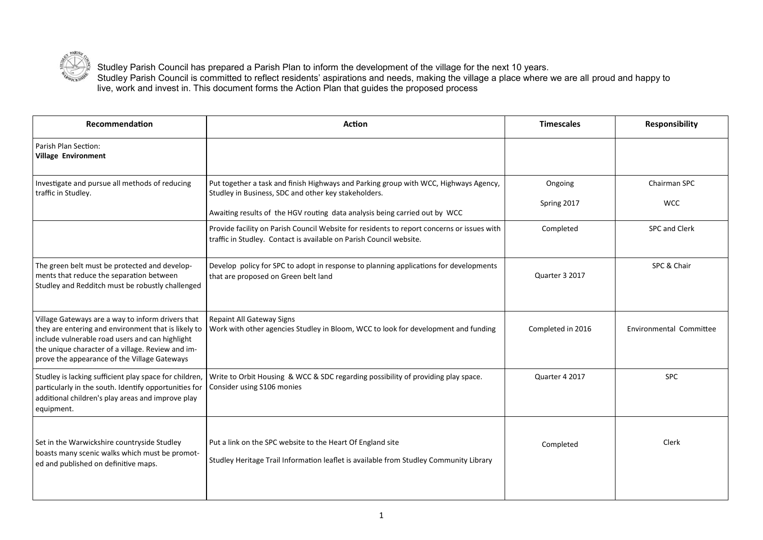

Studley Parish Council has prepared a Parish Plan to inform the development of the village for the next 10 years. Studley Parish Council is committed to reflect residents' aspirations and needs, making the village a place where we are all proud and happy to live, work and invest in. This document forms the Action Plan that guides the proposed process

| Recommendation                                                                                                                                                                                                                                                   | <b>Action</b>                                                                                                                                                                                                                                                                                                            | <b>Timescales</b>                   | <b>Responsibility</b>                       |
|------------------------------------------------------------------------------------------------------------------------------------------------------------------------------------------------------------------------------------------------------------------|--------------------------------------------------------------------------------------------------------------------------------------------------------------------------------------------------------------------------------------------------------------------------------------------------------------------------|-------------------------------------|---------------------------------------------|
| Parish Plan Section:<br><b>Village Environment</b>                                                                                                                                                                                                               |                                                                                                                                                                                                                                                                                                                          |                                     |                                             |
| Investigate and pursue all methods of reducing<br>traffic in Studley.                                                                                                                                                                                            | Put together a task and finish Highways and Parking group with WCC, Highways Agency,<br>Studley in Business, SDC and other key stakeholders.<br>Awaiting results of the HGV routing data analysis being carried out by WCC<br>Provide facility on Parish Council Website for residents to report concerns or issues with | Ongoing<br>Spring 2017<br>Completed | Chairman SPC<br><b>WCC</b><br>SPC and Clerk |
|                                                                                                                                                                                                                                                                  | traffic in Studley. Contact is available on Parish Council website.                                                                                                                                                                                                                                                      |                                     |                                             |
| The green belt must be protected and develop-<br>ments that reduce the separation between<br>Studley and Redditch must be robustly challenged                                                                                                                    | Develop policy for SPC to adopt in response to planning applications for developments<br>that are proposed on Green belt land                                                                                                                                                                                            | Quarter 3 2017                      | SPC & Chair                                 |
| Village Gateways are a way to inform drivers that<br>they are entering and environment that is likely to<br>include vulnerable road users and can highlight<br>the unique character of a village. Review and im-<br>prove the appearance of the Village Gateways | <b>Repaint All Gateway Signs</b><br>Work with other agencies Studley in Bloom, WCC to look for development and funding                                                                                                                                                                                                   | Completed in 2016                   | Environmental Committee                     |
| Studley is lacking sufficient play space for children,<br>particularly in the south. Identify opportunities for<br>additional children's play areas and improve play<br>equipment.                                                                               | Write to Orbit Housing & WCC & SDC regarding possibility of providing play space.<br>Consider using S106 monies                                                                                                                                                                                                          | Quarter 4 2017                      | <b>SPC</b>                                  |
| Set in the Warwickshire countryside Studley<br>boasts many scenic walks which must be promot-<br>ed and published on definitive maps.                                                                                                                            | Put a link on the SPC website to the Heart Of England site<br>Studley Heritage Trail Information leaflet is available from Studley Community Library                                                                                                                                                                     | Completed                           | Clerk                                       |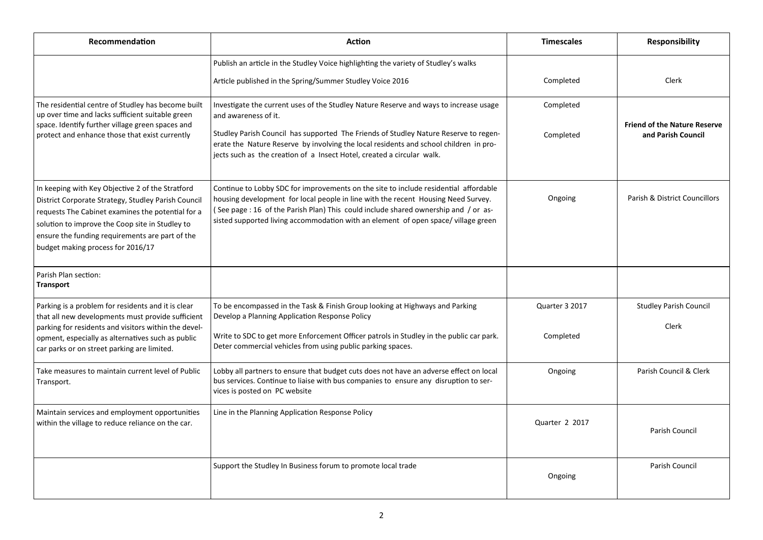| Recommendation                                                                                                                                                                                                                                                                                          | <b>Action</b>                                                                                                                                                                                                                                                                                                                                                            | <b>Timescales</b>           | <b>Responsibility</b>                                     |
|---------------------------------------------------------------------------------------------------------------------------------------------------------------------------------------------------------------------------------------------------------------------------------------------------------|--------------------------------------------------------------------------------------------------------------------------------------------------------------------------------------------------------------------------------------------------------------------------------------------------------------------------------------------------------------------------|-----------------------------|-----------------------------------------------------------|
|                                                                                                                                                                                                                                                                                                         | Publish an article in the Studley Voice highlighting the variety of Studley's walks<br>Article published in the Spring/Summer Studley Voice 2016                                                                                                                                                                                                                         | Completed                   | Clerk                                                     |
| The residential centre of Studley has become built<br>up over time and lacks sufficient suitable green<br>space. Identify further village green spaces and<br>protect and enhance those that exist currently                                                                                            | Investigate the current uses of the Studley Nature Reserve and ways to increase usage<br>and awareness of it.<br>Studley Parish Council has supported The Friends of Studley Nature Reserve to regen-<br>erate the Nature Reserve by involving the local residents and school children in pro-<br>jects such as the creation of a Insect Hotel, created a circular walk. | Completed<br>Completed      | <b>Friend of the Nature Reserve</b><br>and Parish Council |
| In keeping with Key Objective 2 of the Stratford<br>District Corporate Strategy, Studley Parish Council<br>requests The Cabinet examines the potential for a<br>solution to improve the Coop site in Studley to<br>ensure the funding requirements are part of the<br>budget making process for 2016/17 | Continue to Lobby SDC for improvements on the site to include residential affordable<br>housing development for local people in line with the recent Housing Need Survey.<br>(See page: 16 of the Parish Plan) This could include shared ownership and / or as-<br>sisted supported living accommodation with an element of open space/village green                     | Ongoing                     | Parish & District Councillors                             |
| Parish Plan section:<br><b>Transport</b>                                                                                                                                                                                                                                                                |                                                                                                                                                                                                                                                                                                                                                                          |                             |                                                           |
| Parking is a problem for residents and it is clear<br>that all new developments must provide sufficient<br>parking for residents and visitors within the devel-<br>opment, especially as alternatives such as public                                                                                    | To be encompassed in the Task & Finish Group looking at Highways and Parking<br>Develop a Planning Application Response Policy<br>Write to SDC to get more Enforcement Officer patrols in Studley in the public car park.                                                                                                                                                | Quarter 3 2017<br>Completed | <b>Studley Parish Council</b><br>Clerk                    |
| car parks or on street parking are limited.                                                                                                                                                                                                                                                             | Deter commercial vehicles from using public parking spaces.                                                                                                                                                                                                                                                                                                              |                             |                                                           |
| Take measures to maintain current level of Public<br>Transport.                                                                                                                                                                                                                                         | Lobby all partners to ensure that budget cuts does not have an adverse effect on local<br>bus services. Continue to liaise with bus companies to ensure any disruption to ser-<br>vices is posted on PC website                                                                                                                                                          | Ongoing                     | Parish Council & Clerk                                    |
| Maintain services and employment opportunities<br>within the village to reduce reliance on the car.                                                                                                                                                                                                     | Line in the Planning Application Response Policy                                                                                                                                                                                                                                                                                                                         | Quarter 2 2017              | Parish Council                                            |
|                                                                                                                                                                                                                                                                                                         | Support the Studley In Business forum to promote local trade                                                                                                                                                                                                                                                                                                             | Ongoing                     | Parish Council                                            |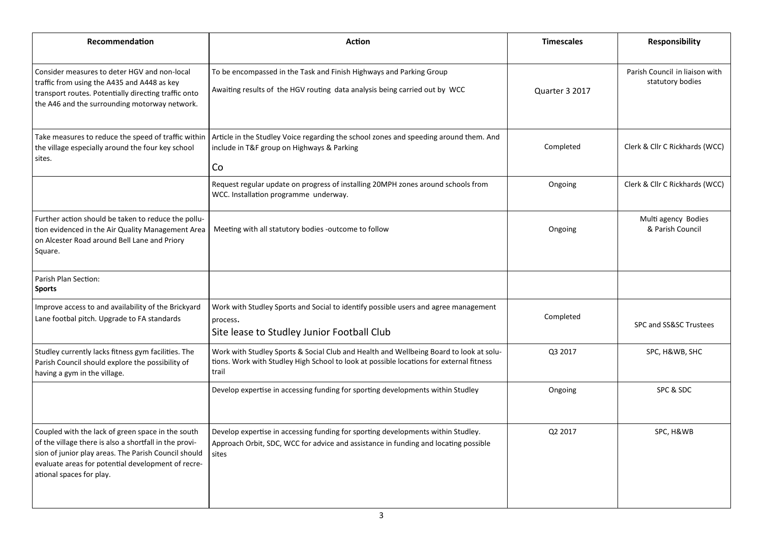| Recommendation                                                                                                                                                                                                                                        | <b>Action</b>                                                                                                                                                                              | <b>Timescales</b> | <b>Responsibility</b>                              |
|-------------------------------------------------------------------------------------------------------------------------------------------------------------------------------------------------------------------------------------------------------|--------------------------------------------------------------------------------------------------------------------------------------------------------------------------------------------|-------------------|----------------------------------------------------|
| Consider measures to deter HGV and non-local<br>traffic from using the A435 and A448 as key<br>transport routes. Potentially directing traffic onto<br>the A46 and the surrounding motorway network.                                                  | To be encompassed in the Task and Finish Highways and Parking Group<br>Awaiting results of the HGV routing data analysis being carried out by WCC                                          | Quarter 3 2017    | Parish Council in liaison with<br>statutory bodies |
| Take measures to reduce the speed of traffic within<br>the village especially around the four key school<br>sites.                                                                                                                                    | Article in the Studley Voice regarding the school zones and speeding around them. And<br>include in T&F group on Highways & Parking<br>Co                                                  | Completed         | Clerk & Cllr C Rickhards (WCC)                     |
|                                                                                                                                                                                                                                                       | Request regular update on progress of installing 20MPH zones around schools from<br>WCC. Installation programme underway.                                                                  | Ongoing           | Clerk & Cllr C Rickhards (WCC)                     |
| Further action should be taken to reduce the pollu-<br>tion evidenced in the Air Quality Management Area<br>on Alcester Road around Bell Lane and Priory<br>Square.                                                                                   | Meeting with all statutory bodies -outcome to follow                                                                                                                                       | Ongoing           | Multi agency Bodies<br>& Parish Council            |
| Parish Plan Section:<br><b>Sports</b>                                                                                                                                                                                                                 |                                                                                                                                                                                            |                   |                                                    |
| Improve access to and availability of the Brickyard<br>Lane footbal pitch. Upgrade to FA standards                                                                                                                                                    | Work with Studley Sports and Social to identify possible users and agree management<br>process.<br>Site lease to Studley Junior Football Club                                              | Completed         | SPC and SS&SC Trustees                             |
| Studley currently lacks fitness gym facilities. The<br>Parish Council should explore the possibility of<br>having a gym in the village.                                                                                                               | Work with Studley Sports & Social Club and Health and Wellbeing Board to look at solu-<br>tions. Work with Studley High School to look at possible locations for external fitness<br>trail | Q3 2017           | SPC, H&WB, SHC                                     |
|                                                                                                                                                                                                                                                       | Develop expertise in accessing funding for sporting developments within Studley                                                                                                            | Ongoing           | SPC & SDC                                          |
| Coupled with the lack of green space in the south<br>of the village there is also a shortfall in the provi-<br>sion of junior play areas. The Parish Council should<br>evaluate areas for potential development of recre-<br>ational spaces for play. | Develop expertise in accessing funding for sporting developments within Studley.<br>Approach Orbit, SDC, WCC for advice and assistance in funding and locating possible<br>sites           | Q2 2017           | SPC, H&WB                                          |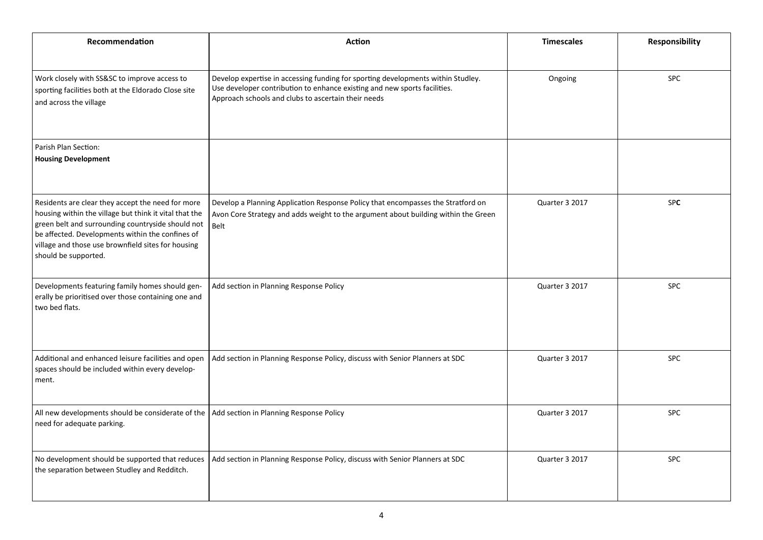| Recommendation                                                                                                                                                                                                                                                                                     | Action                                                                                                                                                                                                               | <b>Timescales</b> | <b>Responsibility</b> |
|----------------------------------------------------------------------------------------------------------------------------------------------------------------------------------------------------------------------------------------------------------------------------------------------------|----------------------------------------------------------------------------------------------------------------------------------------------------------------------------------------------------------------------|-------------------|-----------------------|
|                                                                                                                                                                                                                                                                                                    |                                                                                                                                                                                                                      |                   |                       |
| Work closely with SS&SC to improve access to<br>sporting facilities both at the Eldorado Close site<br>and across the village                                                                                                                                                                      | Develop expertise in accessing funding for sporting developments within Studley.<br>Use developer contribution to enhance existing and new sports facilities.<br>Approach schools and clubs to ascertain their needs | Ongoing           | <b>SPC</b>            |
| Parish Plan Section:                                                                                                                                                                                                                                                                               |                                                                                                                                                                                                                      |                   |                       |
| <b>Housing Development</b>                                                                                                                                                                                                                                                                         |                                                                                                                                                                                                                      |                   |                       |
| Residents are clear they accept the need for more<br>housing within the village but think it vital that the<br>green belt and surrounding countryside should not<br>be affected. Developments within the confines of<br>village and those use brownfield sites for housing<br>should be supported. | Develop a Planning Application Response Policy that encompasses the Stratford on<br>Avon Core Strategy and adds weight to the argument about building within the Green<br>Belt                                       | Quarter 3 2017    | <b>SPC</b>            |
| Developments featuring family homes should gen-<br>erally be prioritised over those containing one and<br>two bed flats.                                                                                                                                                                           | Add section in Planning Response Policy                                                                                                                                                                              | Quarter 3 2017    | SPC                   |
| Additional and enhanced leisure facilities and open<br>spaces should be included within every develop-<br>ment.                                                                                                                                                                                    | Add section in Planning Response Policy, discuss with Senior Planners at SDC                                                                                                                                         | Quarter 3 2017    | <b>SPC</b>            |
| All new developments should be considerate of the   Add section in Planning Response Policy<br>need for adequate parking.                                                                                                                                                                          |                                                                                                                                                                                                                      | Quarter 3 2017    | <b>SPC</b>            |
| No development should be supported that reduces<br>the separation between Studley and Redditch.                                                                                                                                                                                                    | Add section in Planning Response Policy, discuss with Senior Planners at SDC                                                                                                                                         | Quarter 3 2017    | <b>SPC</b>            |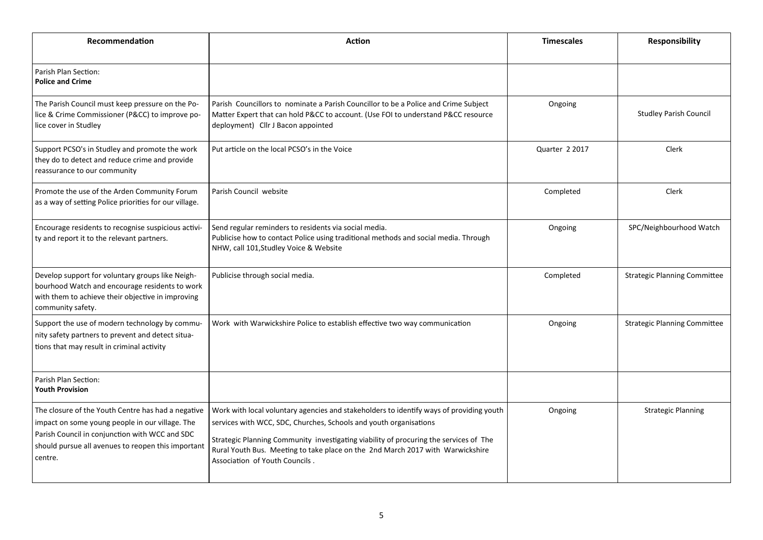| Recommendation                                                                                                                                                                                                           | Action                                                                                                                                                                                                                                                                                                                                                                    | <b>Timescales</b> | Responsibility                      |
|--------------------------------------------------------------------------------------------------------------------------------------------------------------------------------------------------------------------------|---------------------------------------------------------------------------------------------------------------------------------------------------------------------------------------------------------------------------------------------------------------------------------------------------------------------------------------------------------------------------|-------------------|-------------------------------------|
| Parish Plan Section:<br><b>Police and Crime</b>                                                                                                                                                                          |                                                                                                                                                                                                                                                                                                                                                                           |                   |                                     |
| The Parish Council must keep pressure on the Po-<br>lice & Crime Commissioner (P&CC) to improve po-<br>lice cover in Studley                                                                                             | Parish Councillors to nominate a Parish Councillor to be a Police and Crime Subject<br>Matter Expert that can hold P&CC to account. (Use FOI to understand P&CC resource<br>deployment) Cllr J Bacon appointed                                                                                                                                                            | Ongoing           | <b>Studley Parish Council</b>       |
| Support PCSO's in Studley and promote the work<br>they do to detect and reduce crime and provide<br>reassurance to our community                                                                                         | Put article on the local PCSO's in the Voice                                                                                                                                                                                                                                                                                                                              | Quarter 2 2017    | <b>Clerk</b>                        |
| Promote the use of the Arden Community Forum<br>as a way of setting Police priorities for our village.                                                                                                                   | Parish Council website                                                                                                                                                                                                                                                                                                                                                    | Completed         | Clerk                               |
| Encourage residents to recognise suspicious activi-<br>ty and report it to the relevant partners.                                                                                                                        | Send regular reminders to residents via social media.<br>Publicise how to contact Police using traditional methods and social media. Through<br>NHW, call 101, Studley Voice & Website                                                                                                                                                                                    | Ongoing           | SPC/Neighbourhood Watch             |
| Develop support for voluntary groups like Neigh-<br>bourhood Watch and encourage residents to work<br>with them to achieve their objective in improving<br>community safety.                                             | Publicise through social media.                                                                                                                                                                                                                                                                                                                                           | Completed         | <b>Strategic Planning Committee</b> |
| Support the use of modern technology by commu-<br>nity safety partners to prevent and detect situa-<br>tions that may result in criminal activity                                                                        | Work with Warwickshire Police to establish effective two way communication                                                                                                                                                                                                                                                                                                | Ongoing           | <b>Strategic Planning Committee</b> |
| Parish Plan Section:<br><b>Youth Provision</b>                                                                                                                                                                           |                                                                                                                                                                                                                                                                                                                                                                           |                   |                                     |
| The closure of the Youth Centre has had a negative<br>impact on some young people in our village. The<br>Parish Council in conjunction with WCC and SDC<br>should pursue all avenues to reopen this important<br>centre. | Work with local voluntary agencies and stakeholders to identify ways of providing youth<br>services with WCC, SDC, Churches, Schools and youth organisations<br>Strategic Planning Community investigating viability of procuring the services of The<br>Rural Youth Bus. Meeting to take place on the 2nd March 2017 with Warwickshire<br>Association of Youth Councils. | Ongoing           | <b>Strategic Planning</b>           |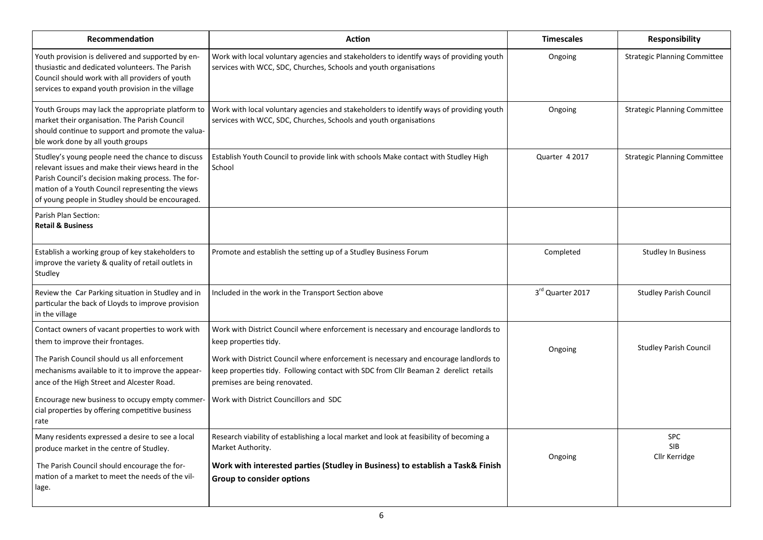| Recommendation                                                                                                                                                                                                                                                                            | <b>Action</b>                                                                                                                                                                                                                                                                                                                                                            | <b>Timescales</b> | Responsibility                            |
|-------------------------------------------------------------------------------------------------------------------------------------------------------------------------------------------------------------------------------------------------------------------------------------------|--------------------------------------------------------------------------------------------------------------------------------------------------------------------------------------------------------------------------------------------------------------------------------------------------------------------------------------------------------------------------|-------------------|-------------------------------------------|
| Youth provision is delivered and supported by en-<br>thusiastic and dedicated volunteers. The Parish<br>Council should work with all providers of youth<br>services to expand youth provision in the village                                                                              | Work with local voluntary agencies and stakeholders to identify ways of providing youth<br>services with WCC, SDC, Churches, Schools and youth organisations                                                                                                                                                                                                             | Ongoing           | <b>Strategic Planning Committee</b>       |
| Youth Groups may lack the appropriate platform to<br>market their organisation. The Parish Council<br>should continue to support and promote the valua-<br>ble work done by all youth groups                                                                                              | Work with local voluntary agencies and stakeholders to identify ways of providing youth<br>services with WCC, SDC, Churches, Schools and youth organisations                                                                                                                                                                                                             | Ongoing           | <b>Strategic Planning Committee</b>       |
| Studley's young people need the chance to discuss<br>relevant issues and make their views heard in the<br>Parish Council's decision making process. The for-<br>mation of a Youth Council representing the views<br>of young people in Studley should be encouraged.                      | Establish Youth Council to provide link with schools Make contact with Studley High<br>School                                                                                                                                                                                                                                                                            | Quarter 4 2017    | <b>Strategic Planning Committee</b>       |
| Parish Plan Section:<br><b>Retail &amp; Business</b>                                                                                                                                                                                                                                      |                                                                                                                                                                                                                                                                                                                                                                          |                   |                                           |
| Establish a working group of key stakeholders to<br>improve the variety & quality of retail outlets in<br>Studley                                                                                                                                                                         | Promote and establish the setting up of a Studley Business Forum                                                                                                                                                                                                                                                                                                         | Completed         | <b>Studley In Business</b>                |
| Review the Car Parking situation in Studley and in<br>particular the back of Lloyds to improve provision<br>in the village                                                                                                                                                                | Included in the work in the Transport Section above                                                                                                                                                                                                                                                                                                                      | 3rd Quarter 2017  | <b>Studley Parish Council</b>             |
| Contact owners of vacant properties to work with<br>them to improve their frontages.<br>The Parish Council should us all enforcement<br>mechanisms available to it to improve the appear-<br>ance of the High Street and Alcester Road.<br>Encourage new business to occupy empty commer- | Work with District Council where enforcement is necessary and encourage landlords to<br>keep properties tidy.<br>Work with District Council where enforcement is necessary and encourage landlords to<br>keep properties tidy. Following contact with SDC from Cllr Beaman 2 derelict retails<br>premises are being renovated.<br>Work with District Councillors and SDC | Ongoing           | <b>Studley Parish Council</b>             |
| cial properties by offering competitive business<br>rate                                                                                                                                                                                                                                  |                                                                                                                                                                                                                                                                                                                                                                          |                   |                                           |
| Many residents expressed a desire to see a local<br>produce market in the centre of Studley.                                                                                                                                                                                              | Research viability of establishing a local market and look at feasibility of becoming a<br>Market Authority.                                                                                                                                                                                                                                                             | Ongoing           | <b>SPC</b><br><b>SIB</b><br>Cllr Kerridge |
| The Parish Council should encourage the for-<br>mation of a market to meet the needs of the vil-<br>lage.                                                                                                                                                                                 | Work with interested parties (Studley in Business) to establish a Task& Finish<br><b>Group to consider options</b>                                                                                                                                                                                                                                                       |                   |                                           |